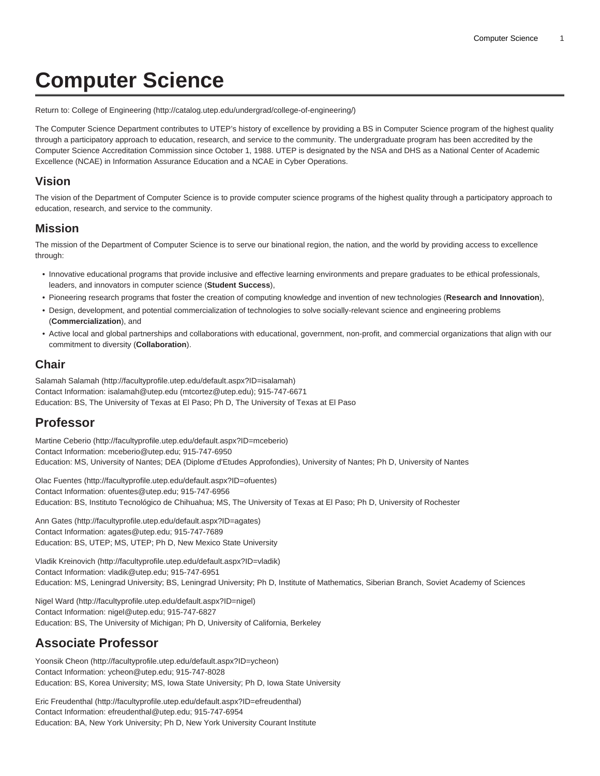# **Computer Science**

Return to: [College of Engineering](http://catalog.utep.edu/undergrad/college-of-engineering/) [\(http://catalog.utep.edu/undergrad/college-of-engineering/\)](http://catalog.utep.edu/undergrad/college-of-engineering/)

The Computer Science Department contributes to UTEP's history of excellence by providing a BS in Computer Science program of the highest quality through a participatory approach to education, research, and service to the community. The undergraduate program has been accredited by the Computer Science Accreditation Commission since October 1, 1988. UTEP is designated by the NSA and DHS as a National Center of Academic Excellence (NCAE) in Information Assurance Education and a NCAE in Cyber Operations.

#### **Vision**

The vision of the Department of Computer Science is to provide computer science programs of the highest quality through a participatory approach to education, research, and service to the community.

#### **Mission**

The mission of the Department of Computer Science is to serve our binational region, the nation, and the world by providing access to excellence through:

- Innovative educational programs that provide inclusive and effective learning environments and prepare graduates to be ethical professionals, leaders, and innovators in computer science (**Student Success**),
- Pioneering research programs that foster the creation of computing knowledge and invention of new technologies (**Research and Innovation**),
- Design, development, and potential commercialization of technologies to solve socially-relevant science and engineering problems (**Commercialization**), and
- Active local and global partnerships and collaborations with educational, government, non-profit, and commercial organizations that align with our commitment to diversity (**Collaboration**).

#### **Chair**

[Salamah Salamah](http://facultyprofile.utep.edu/default.aspx?ID=isalamah) [\(http://facultyprofile.utep.edu/default.aspx?ID=isalamah](http://facultyprofile.utep.edu/default.aspx?ID=isalamah)) Contact Information: [isalamah@utep.edu](mailto:mtcortez@utep.edu) [\(mtcortez@utep.edu](mtcortez@utep.edu)); 915-747-6671 Education: BS, The University of Texas at El Paso; Ph D, The University of Texas at El Paso

## **Professor**

[Martine Ceberio](http://facultyprofile.utep.edu/default.aspx?ID=mceberio) (<http://facultyprofile.utep.edu/default.aspx?ID=mceberio>) Contact Information: [mceberio@utep.edu](mailto:mceberio@utep.edu); 915-747-6950 Education: MS, University of Nantes; DEA (Diplome d'Etudes Approfondies), University of Nantes; Ph D, University of Nantes

[Olac Fuentes \(http://facultyprofile.utep.edu/default.aspx?ID=ofuentes\)](http://facultyprofile.utep.edu/default.aspx?ID=ofuentes) Contact Information: [ofuentes@utep.edu](mailto:ofuentes@utep.edu); 915-747-6956 Education: BS, Instituto Tecnológico de Chihuahua; MS, The University of Texas at El Paso; Ph D, University of Rochester

[Ann Gates](http://facultyprofile.utep.edu/default.aspx?ID=agates) (<http://facultyprofile.utep.edu/default.aspx?ID=agates>) Contact Information: [agates@utep.edu;](mailto:agates@utep.edu) 915-747-7689 Education: BS, UTEP; MS, UTEP; Ph D, New Mexico State University

[Vladik Kreinovich](http://facultyprofile.utep.edu/default.aspx?ID=vladik) [\(http://facultyprofile.utep.edu/default.aspx?ID=vladik](http://facultyprofile.utep.edu/default.aspx?ID=vladik)) Contact Information: [vladik@utep.edu;](mailto:vladik@utep.edu) 915-747-6951 Education: MS, Leningrad University; BS, Leningrad University; Ph D, Institute of Mathematics, Siberian Branch, Soviet Academy of Sciences

[Nigel Ward \(http://facultyprofile.utep.edu/default.aspx?ID=nigel](http://facultyprofile.utep.edu/default.aspx?ID=nigel)) Contact Information: [nigel@utep.edu](mailto:nigel@utep.edu); 915-747-6827 Education: BS, The University of Michigan; Ph D, University of California, Berkeley

# **Associate Professor**

[Yoonsik Cheon](http://facultyprofile.utep.edu/default.aspx?ID=ycheon) [\(http://facultyprofile.utep.edu/default.aspx?ID=ycheon\)](http://facultyprofile.utep.edu/default.aspx?ID=ycheon) Contact Information: [ycheon@utep.edu](mailto:ycheon@utep.edu); 915-747-8028 Education: BS, Korea University; MS, Iowa State University; Ph D, Iowa State University

[Eric Freudenthal](http://facultyprofile.utep.edu/default.aspx?ID=efreudenthal) ([http://facultyprofile.utep.edu/default.aspx?ID=efreudenthal\)](http://facultyprofile.utep.edu/default.aspx?ID=efreudenthal) Contact Information: [efreudenthal@utep.edu;](mailto:efreudenthal@utep.edu) 915-747-6954 Education: BA, New York University; Ph D, New York University Courant Institute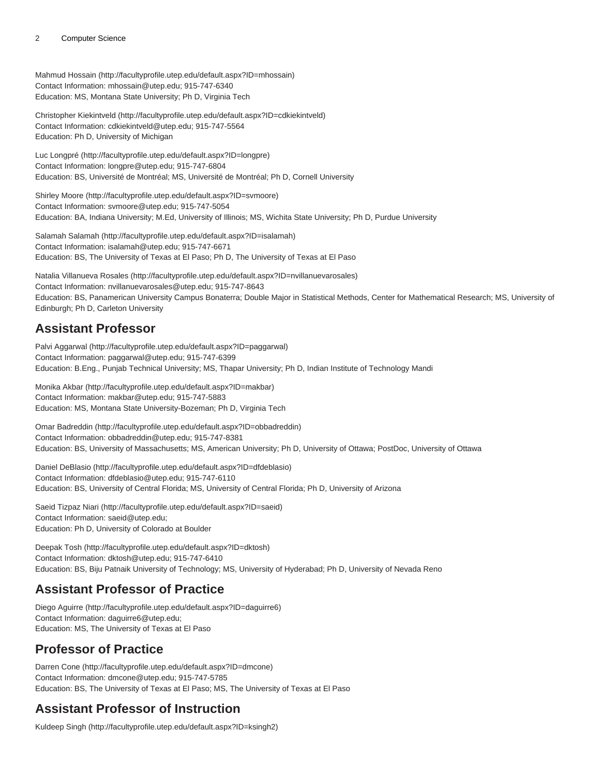#### 2 Computer Science

[Mahmud Hossain](http://facultyprofile.utep.edu/default.aspx?ID=mhossain) [\(http://facultyprofile.utep.edu/default.aspx?ID=mhossain](http://facultyprofile.utep.edu/default.aspx?ID=mhossain)) Contact Information: [mhossain@utep.edu;](mailto:mhossain@utep.edu) 915-747-6340 Education: MS, Montana State University; Ph D, Virginia Tech

[Christopher Kiekintveld](http://facultyprofile.utep.edu/default.aspx?ID=cdkiekintveld) [\(http://facultyprofile.utep.edu/default.aspx?ID=cdkiekintveld\)](http://facultyprofile.utep.edu/default.aspx?ID=cdkiekintveld) Contact Information: [cdkiekintveld@utep.edu](mailto:cdkiekintveld@utep.edu); 915-747-5564 Education: Ph D, University of Michigan

[Luc Longpré](http://facultyprofile.utep.edu/default.aspx?ID=longpre) [\(http://facultyprofile.utep.edu/default.aspx?ID=longpre\)](http://facultyprofile.utep.edu/default.aspx?ID=longpre) Contact Information: [longpre@utep.edu](mailto:longpre@utep.edu); 915-747-6804 Education: BS, Université de Montréal; MS, Université de Montréal; Ph D, Cornell University

[Shirley Moore](http://facultyprofile.utep.edu/default.aspx?ID=svmoore) [\(http://facultyprofile.utep.edu/default.aspx?ID=svmoore\)](http://facultyprofile.utep.edu/default.aspx?ID=svmoore) Contact Information: [svmoore@utep.edu](mailto:svmoore@utep.edu); 915-747-5054 Education: BA, Indiana University; M.Ed, University of Illinois; MS, Wichita State University; Ph D, Purdue University

[Salamah Salamah](http://facultyprofile.utep.edu/default.aspx?ID=isalamah) [\(http://facultyprofile.utep.edu/default.aspx?ID=isalamah](http://facultyprofile.utep.edu/default.aspx?ID=isalamah)) Contact Information: [isalamah@utep.edu;](mailto:isalamah@utep.edu) 915-747-6671 Education: BS, The University of Texas at El Paso; Ph D, The University of Texas at El Paso

[Natalia Villanueva Rosales](http://facultyprofile.utep.edu/default.aspx?ID=nvillanuevarosales) [\(http://facultyprofile.utep.edu/default.aspx?ID=nvillanuevarosales\)](http://facultyprofile.utep.edu/default.aspx?ID=nvillanuevarosales) Contact Information: [nvillanuevarosales@utep.edu](mailto:nvillanuevarosales@utep.edu); 915-747-8643 Education: BS, Panamerican University Campus Bonaterra; Double Major in Statistical Methods, Center for Mathematical Research; MS, University of Edinburgh; Ph D, Carleton University

## **Assistant Professor**

[Palvi Aggarwal](http://facultyprofile.utep.edu/default.aspx?ID=paggarwal) (<http://facultyprofile.utep.edu/default.aspx?ID=paggarwal>) Contact Information: [paggarwal@utep.edu](mailto:paggarwal@utep.edu); 915-747-6399 Education: B.Eng., Punjab Technical University; MS, Thapar University; Ph D, Indian Institute of Technology Mandi

[Monika Akbar](http://facultyprofile.utep.edu/default.aspx?ID=makbar) (<http://facultyprofile.utep.edu/default.aspx?ID=makbar>) Contact Information: [makbar@utep.edu](mailto:makbar@utep.edu); 915-747-5883 Education: MS, Montana State University-Bozeman; Ph D, Virginia Tech

[Omar Badreddin](http://facultyprofile.utep.edu/default.aspx?ID=obbadreddin) ([http://facultyprofile.utep.edu/default.aspx?ID=obbadreddin\)](http://facultyprofile.utep.edu/default.aspx?ID=obbadreddin) Contact Information: [obbadreddin@utep.edu;](mailto:obbadreddin@utep.edu) 915-747-8381 Education: BS, University of Massachusetts; MS, American University; Ph D, University of Ottawa; PostDoc, University of Ottawa

[Daniel DeBlasio](http://facultyprofile.utep.edu/default.aspx?ID=dfdeblasio) (<http://facultyprofile.utep.edu/default.aspx?ID=dfdeblasio>) Contact Information: [dfdeblasio@utep.edu;](mailto:dfdeblasio@utep.edu) 915-747-6110 Education: BS, University of Central Florida; MS, University of Central Florida; Ph D, University of Arizona

[Saeid Tizpaz Niari](http://facultyprofile.utep.edu/default.aspx?ID=saeid) ([http://facultyprofile.utep.edu/default.aspx?ID=saeid\)](http://facultyprofile.utep.edu/default.aspx?ID=saeid) Contact Information: [saeid@utep.edu;](mailto:saeid@utep.edu) Education: Ph D, University of Colorado at Boulder

[Deepak Tosh \(http://facultyprofile.utep.edu/default.aspx?ID=dktosh\)](http://facultyprofile.utep.edu/default.aspx?ID=dktosh) Contact Information: [dktosh@utep.edu](mailto:dktosh@utep.edu); 915-747-6410 Education: BS, Biju Patnaik University of Technology; MS, University of Hyderabad; Ph D, University of Nevada Reno

# **Assistant Professor of Practice**

[Diego Aguirre](http://facultyprofile.utep.edu/default.aspx?ID=daguirre6) (<http://facultyprofile.utep.edu/default.aspx?ID=daguirre6>) Contact Information: [daguirre6@utep.edu](mailto:daguirre6@utep.edu); Education: MS, The University of Texas at El Paso

# **Professor of Practice**

[Darren Cone](http://facultyprofile.utep.edu/default.aspx?ID=dmcone) ([http://facultyprofile.utep.edu/default.aspx?ID=dmcone\)](http://facultyprofile.utep.edu/default.aspx?ID=dmcone) Contact Information: [dmcone@utep.edu;](mailto:dmcone@utep.edu) 915-747-5785 Education: BS, The University of Texas at El Paso; MS, The University of Texas at El Paso

## **Assistant Professor of Instruction**

[Kuldeep Singh](http://facultyprofile.utep.edu/default.aspx?ID=ksingh2) (<http://facultyprofile.utep.edu/default.aspx?ID=ksingh2>)